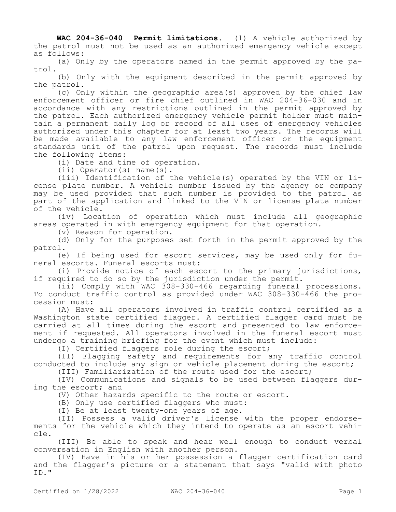**WAC 204-36-040 Permit limitations.** (1) A vehicle authorized by the patrol must not be used as an authorized emergency vehicle except as follows:

(a) Only by the operators named in the permit approved by the patrol.

(b) Only with the equipment described in the permit approved by the patrol.

(c) Only within the geographic area(s) approved by the chief law enforcement officer or fire chief outlined in WAC 204-36-030 and in accordance with any restrictions outlined in the permit approved by the patrol. Each authorized emergency vehicle permit holder must maintain a permanent daily log or record of all uses of emergency vehicles authorized under this chapter for at least two years. The records will be made available to any law enforcement officer or the equipment standards unit of the patrol upon request. The records must include the following items:

(i) Date and time of operation.

(ii) Operator(s) name(s).

(iii) Identification of the vehicle(s) operated by the VIN or license plate number. A vehicle number issued by the agency or company may be used provided that such number is provided to the patrol as part of the application and linked to the VIN or license plate number of the vehicle.

(iv) Location of operation which must include all geographic areas operated in with emergency equipment for that operation.

(v) Reason for operation.

(d) Only for the purposes set forth in the permit approved by the patrol.

(e) If being used for escort services, may be used only for funeral escorts. Funeral escorts must:

(i) Provide notice of each escort to the primary jurisdictions, if required to do so by the jurisdiction under the permit.

(ii) Comply with WAC 308-330-466 regarding funeral processions. To conduct traffic control as provided under WAC 308-330-466 the procession must:

(A) Have all operators involved in traffic control certified as a Washington state certified flagger. A certified flagger card must be carried at all times during the escort and presented to law enforcement if requested. All operators involved in the funeral escort must undergo a training briefing for the event which must include:

(I) Certified flaggers role during the escort;

(II) Flagging safety and requirements for any traffic control conducted to include any sign or vehicle placement during the escort;

(III) Familiarization of the route used for the escort;

(IV) Communications and signals to be used between flaggers during the escort; and

(V) Other hazards specific to the route or escort.

(B) Only use certified flaggers who must:

(I) Be at least twenty-one years of age.

(II) Possess a valid driver's license with the proper endorsements for the vehicle which they intend to operate as an escort vehicle.

(III) Be able to speak and hear well enough to conduct verbal conversation in English with another person.

(IV) Have in his or her possession a flagger certification card and the flagger's picture or a statement that says "valid with photo ID."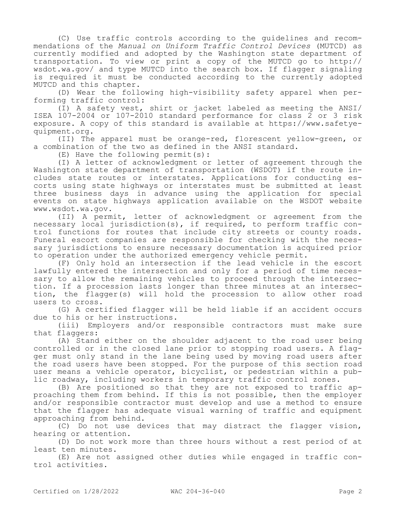(C) Use traffic controls according to the guidelines and recommendations of the *Manual on Uniform Traffic Control Devices* (MUTCD) as currently modified and adopted by the Washington state department of transportation. To view or print a copy of the MUTCD go to http:// wsdot.wa.gov/ and type MUTCD into the search box. If flagger signaling is required it must be conducted according to the currently adopted MUTCD and this chapter.

(D) Wear the following high-visibility safety apparel when performing traffic control:

(I) A safety vest, shirt or jacket labeled as meeting the ANSI/ ISEA 107-2004 or 107-2010 standard performance for class 2 or 3 risk exposure. A copy of this standard is available at https://www.safetyequipment.org.

(II) The apparel must be orange-red, florescent yellow-green, or a combination of the two as defined in the ANSI standard.

(E) Have the following permit(s):

(I) A letter of acknowledgment or letter of agreement through the Washington state department of transportation (WSDOT) if the route includes state routes or interstates. Applications for conducting escorts using state highways or interstates must be submitted at least three business days in advance using the application for special events on state highways application available on the WSDOT website www.wsdot.wa.gov.

(II) A permit, letter of acknowledgment or agreement from the necessary local jurisdiction(s), if required, to perform traffic control functions for routes that include city streets or county roads. Funeral escort companies are responsible for checking with the necessary jurisdictions to ensure necessary documentation is acquired prior to operation under the authorized emergency vehicle permit.

(F) Only hold an intersection if the lead vehicle in the escort lawfully entered the intersection and only for a period of time necessary to allow the remaining vehicles to proceed through the intersection. If a procession lasts longer than three minutes at an intersection, the flagger(s) will hold the procession to allow other road users to cross.

(G) A certified flagger will be held liable if an accident occurs due to his or her instructions.

(iii) Employers and/or responsible contractors must make sure that flaggers:

(A) Stand either on the shoulder adjacent to the road user being controlled or in the closed lane prior to stopping road users. A flagger must only stand in the lane being used by moving road users after the road users have been stopped. For the purpose of this section road user means a vehicle operator, bicyclist, or pedestrian within a public roadway, including workers in temporary traffic control zones.

(B) Are positioned so that they are not exposed to traffic approaching them from behind. If this is not possible, then the employer and/or responsible contractor must develop and use a method to ensure that the flagger has adequate visual warning of traffic and equipment approaching from behind.

(C) Do not use devices that may distract the flagger vision, hearing or attention.

(D) Do not work more than three hours without a rest period of at least ten minutes.

(E) Are not assigned other duties while engaged in traffic control activities.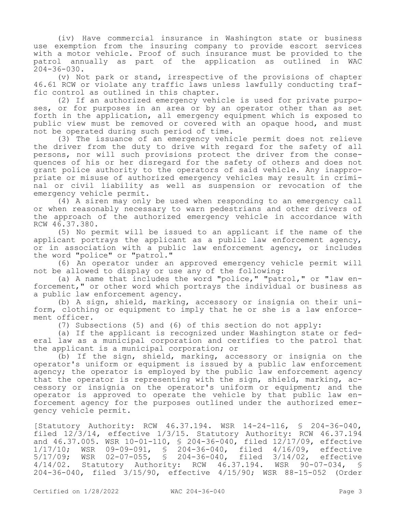(iv) Have commercial insurance in Washington state or business use exemption from the insuring company to provide escort services with a motor vehicle. Proof of such insurance must be provided to the patrol annually as part of the application as outlined in WAC  $204 - 36 - 030$ .

(v) Not park or stand, irrespective of the provisions of chapter 46.61 RCW or violate any traffic laws unless lawfully conducting traffic control as outlined in this chapter.

(2) If an authorized emergency vehicle is used for private purposes, or for purposes in an area or by an operator other than as set forth in the application, all emergency equipment which is exposed to public view must be removed or covered with an opaque hood, and must not be operated during such period of time.

(3) The issuance of an emergency vehicle permit does not relieve the driver from the duty to drive with regard for the safety of all persons, nor will such provisions protect the driver from the consequences of his or her disregard for the safety of others and does not grant police authority to the operators of said vehicle. Any inappropriate or misuse of authorized emergency vehicles may result in criminal or civil liability as well as suspension or revocation of the emergency vehicle permit.

(4) A siren may only be used when responding to an emergency call or when reasonably necessary to warn pedestrians and other drivers of the approach of the authorized emergency vehicle in accordance with RCW 46.37.380.

(5) No permit will be issued to an applicant if the name of the applicant portrays the applicant as a public law enforcement agency, or in association with a public law enforcement agency, or includes the word "police" or "patrol."

(6) An operator under an approved emergency vehicle permit will not be allowed to display or use any of the following:

(a) A name that includes the word "police," "patrol," or "law enforcement," or other word which portrays the individual or business as a public law enforcement agency.

(b) A sign, shield, marking, accessory or insignia on their uniform, clothing or equipment to imply that he or she is a law enforcement officer.

(7) Subsections (5) and (6) of this section do not apply:

(a) If the applicant is recognized under Washington state or federal law as a municipal corporation and certifies to the patrol that the applicant is a municipal corporation; or

(b) If the sign, shield, marking, accessory or insignia on the operator's uniform or equipment is issued by a public law enforcement agency; the operator is employed by the public law enforcement agency that the operator is representing with the sign, shield, marking, accessory or insignia on the operator's uniform or equipment; and the operator is approved to operate the vehicle by that public law enforcement agency for the purposes outlined under the authorized emergency vehicle permit.

[Statutory Authority: RCW 46.37.194. WSR 14-24-116, § 204-36-040, filed 12/3/14, effective 1/3/15. Statutory Authority: RCW 46.37.194 and 46.37.005. WSR 10-01-110, § 204-36-040, filed 12/17/09, effective 1/17/10; WSR 09-09-091, § 204-36-040, filed 4/16/09, effective 5/17/09; WSR 02-07-055, § 204-36-040, filed 3/14/02, effective 4/14/02. Statutory Authority: RCW 46.37.194. WSR 90-07-034, § 204-36-040, filed 3/15/90, effective 4/15/90; WSR 88-15-052 (Order